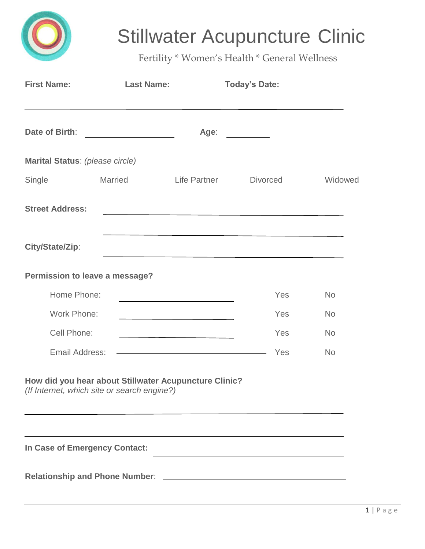

## Stillwater Acupuncture Clinic

Fertility \* Women's Health \* General Wellness

| <b>First Name:</b>                          | <b>Last Name:</b>                                                     |                                                                                                                     | <b>Today's Date:</b>                                                                                                  |           |
|---------------------------------------------|-----------------------------------------------------------------------|---------------------------------------------------------------------------------------------------------------------|-----------------------------------------------------------------------------------------------------------------------|-----------|
| Date of Birth:                              | <u> 1989 - Johann Marie Barn, mars an t-Amerikaansk kommunister (</u> | Age:                                                                                                                |                                                                                                                       |           |
| Marital Status: (please circle)             |                                                                       |                                                                                                                     |                                                                                                                       |           |
| Single                                      | <b>Married</b>                                                        | Life Partner                                                                                                        | <b>Divorced</b>                                                                                                       | Widowed   |
| <b>Street Address:</b>                      |                                                                       |                                                                                                                     | <u> 1989 - Johann Barn, fransk politik (f. 1989)</u>                                                                  |           |
| City/State/Zip:                             |                                                                       |                                                                                                                     | <u> 1989 - Johann John Stein, mars ar yw i ganwys y cynnwys y cynnwys y cynnwys y cynnwys y cynnwys y cynnwys y c</u> |           |
| Permission to leave a message?              |                                                                       |                                                                                                                     |                                                                                                                       |           |
| Home Phone:                                 |                                                                       | <u> 1989 - Johann Barn, amerikansk politiker (</u>                                                                  | Yes                                                                                                                   | <b>No</b> |
| Work Phone:                                 |                                                                       |                                                                                                                     | Yes                                                                                                                   | <b>No</b> |
| Cell Phone:                                 |                                                                       |                                                                                                                     | Yes                                                                                                                   | <b>No</b> |
| Email Address:                              |                                                                       | <u> 1989 - Johann Barn, mars eta bainar eta baina eta baina eta baina eta baina eta baina eta baina eta baina e</u> | Yes                                                                                                                   | <b>No</b> |
| (If Internet, which site or search engine?) | How did you hear about Stillwater Acupuncture Clinic?                 |                                                                                                                     |                                                                                                                       |           |
| In Case of Emergency Contact:               |                                                                       |                                                                                                                     |                                                                                                                       |           |
|                                             |                                                                       |                                                                                                                     |                                                                                                                       |           |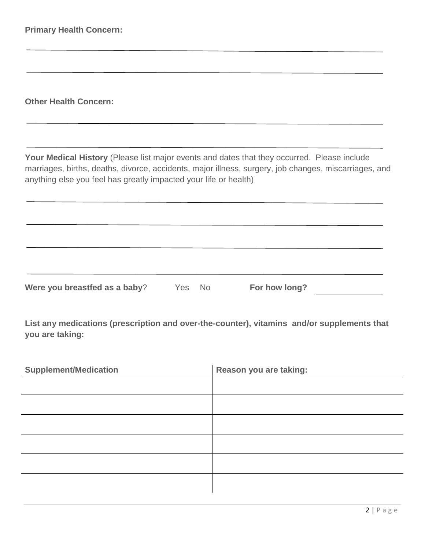**Other Health Concern:**

**Your Medical History** (Please list major events and dates that they occurred. Please include marriages, births, deaths, divorce, accidents, major illness, surgery, job changes, miscarriages, and anything else you feel has greatly impacted your life or health)

**List any medications (prescription and over-the-counter), vitamins and/or supplements that you are taking:**

**Were you breastfed as a baby**? Yes No **For how long?**

| <b>Supplement/Medication</b> | Reason you are taking: |
|------------------------------|------------------------|
|                              |                        |
|                              |                        |
|                              |                        |
|                              |                        |
|                              |                        |
|                              |                        |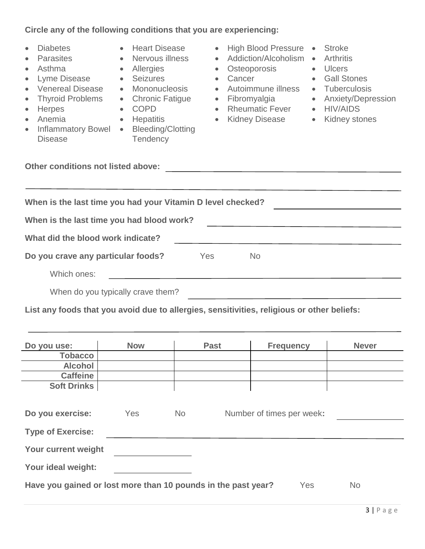## **Circle any of the following conditions that you are experiencing:**

| on the any of the following containons that you are experienting.                                                                                                                                                                                                                                                                                                            |                                                                                                                                                                                                                                                                                         |                                                                                                                                                                       |                                                                                                                                                                                                                                                                   |  |  |  |
|------------------------------------------------------------------------------------------------------------------------------------------------------------------------------------------------------------------------------------------------------------------------------------------------------------------------------------------------------------------------------|-----------------------------------------------------------------------------------------------------------------------------------------------------------------------------------------------------------------------------------------------------------------------------------------|-----------------------------------------------------------------------------------------------------------------------------------------------------------------------|-------------------------------------------------------------------------------------------------------------------------------------------------------------------------------------------------------------------------------------------------------------------|--|--|--|
| <b>Diabetes</b><br>$\bullet$<br><b>Parasites</b><br>$\bullet$<br>$\bullet$<br>Asthma<br>$\bullet$<br>Lyme Disease<br>$\bullet$<br>$\bullet$<br><b>Venereal Disease</b><br>$\bullet$<br><b>Thyroid Problems</b><br>$\bullet$<br>$\bullet$<br>Herpes<br>$\bullet$<br>$\bullet$<br>Anemia<br>$\bullet$<br>$\bullet$<br><b>Inflammatory Bowel</b><br>$\bullet$<br><b>Disease</b> | <b>Heart Disease</b><br>$\bullet$<br>Nervous illness<br>$\bullet$<br>Allergies<br>$\bullet$<br>Seizures<br>$\bullet$<br>Mononucleosis<br>$\bullet$<br><b>Chronic Fatigue</b><br>$\bullet$<br><b>COPD</b><br>$\bullet$<br>Hepatitis<br>$\bullet$<br><b>Bleeding/Clotting</b><br>Tendency | <b>High Blood Pressure</b><br>Addiction/Alcoholism<br>Osteoporosis<br>Cancer<br>Autoimmune illness<br>Fibromyalgia<br><b>Rheumatic Fever</b><br><b>Kidney Disease</b> | <b>Stroke</b><br>$\bullet$<br><b>Arthritis</b><br>$\bullet$<br><b>Ulcers</b><br>$\bullet$<br><b>Gall Stones</b><br>$\bullet$<br>Tuberculosis<br>$\bullet$<br><b>Anxiety/Depression</b><br>$\bullet$<br><b>HIV/AIDS</b><br>$\bullet$<br>Kidney stones<br>$\bullet$ |  |  |  |
| Other conditions not listed above:<br><u> 1989 - Andrea Andrew Maria (h. 1989).</u><br>When is the last time you had your Vitamin D level checked?                                                                                                                                                                                                                           |                                                                                                                                                                                                                                                                                         |                                                                                                                                                                       |                                                                                                                                                                                                                                                                   |  |  |  |
| When is the last time you had blood work?                                                                                                                                                                                                                                                                                                                                    |                                                                                                                                                                                                                                                                                         |                                                                                                                                                                       |                                                                                                                                                                                                                                                                   |  |  |  |
| What did the blood work indicate?                                                                                                                                                                                                                                                                                                                                            |                                                                                                                                                                                                                                                                                         |                                                                                                                                                                       |                                                                                                                                                                                                                                                                   |  |  |  |
| Do you crave any particular foods?                                                                                                                                                                                                                                                                                                                                           | Yes                                                                                                                                                                                                                                                                                     | <b>No</b>                                                                                                                                                             |                                                                                                                                                                                                                                                                   |  |  |  |
| Which ones:                                                                                                                                                                                                                                                                                                                                                                  |                                                                                                                                                                                                                                                                                         |                                                                                                                                                                       |                                                                                                                                                                                                                                                                   |  |  |  |
| When do you typically crave them?                                                                                                                                                                                                                                                                                                                                            |                                                                                                                                                                                                                                                                                         |                                                                                                                                                                       |                                                                                                                                                                                                                                                                   |  |  |  |
| List any foods that you avoid due to allergies, sensitivities, religious or other beliefs:                                                                                                                                                                                                                                                                                   |                                                                                                                                                                                                                                                                                         |                                                                                                                                                                       |                                                                                                                                                                                                                                                                   |  |  |  |

| Do you use:                                                   | <b>Now</b> |           | <b>Past</b> | <b>Frequency</b>          | <b>Never</b> |
|---------------------------------------------------------------|------------|-----------|-------------|---------------------------|--------------|
| <b>Tobacco</b>                                                |            |           |             |                           |              |
| <b>Alcohol</b>                                                |            |           |             |                           |              |
| <b>Caffeine</b>                                               |            |           |             |                           |              |
| <b>Soft Drinks</b>                                            |            |           |             |                           |              |
|                                                               |            |           |             |                           |              |
| Do you exercise:                                              | <b>Yes</b> | <b>No</b> |             | Number of times per week: |              |
| <b>Type of Exercise:</b>                                      |            |           |             |                           |              |
| Your current weight                                           |            |           |             |                           |              |
| Your ideal weight:                                            |            |           |             |                           |              |
| Have you gained or lost more than 10 pounds in the past year? |            |           |             | Yes                       | <b>No</b>    |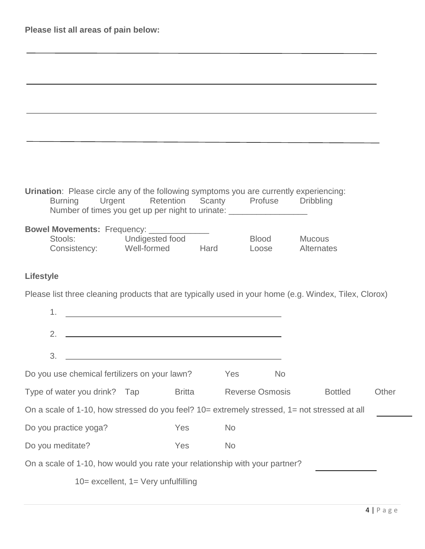| Urination: Please circle any of the following symptoms you are currently experiencing:<br>Urgent Retention Scanty Profuse Dribbling<br><b>Burning</b><br>Number of times you get up per night to urinate: _______________________________ |               |           |                        |                  |       |
|-------------------------------------------------------------------------------------------------------------------------------------------------------------------------------------------------------------------------------------------|---------------|-----------|------------------------|------------------|-------|
| Bowel Movements: Frequency: ____________<br>Stools: Undigested food<br>Consistency: Well-formed Hard                                                                                                                                      |               |           | Blood Mucous           | Loose Alternates |       |
| <b>Lifestyle</b>                                                                                                                                                                                                                          |               |           |                        |                  |       |
| Please list three cleaning products that are typically used in your home (e.g. Windex, Tilex, Clorox)                                                                                                                                     |               |           |                        |                  |       |
| 1.<br><u> 1980 - Johann Barn, mars ann an t-Amhain Aonaich an t-Aonaich an t-Aonaich an t-Aonaich an t-Aonaich an t-Aon</u>                                                                                                               |               |           |                        |                  |       |
| <u> 1989 - Johann Barn, fransk politik amerikansk politik (</u><br>2.                                                                                                                                                                     |               |           |                        |                  |       |
| 3.                                                                                                                                                                                                                                        |               |           |                        |                  |       |
| Do you use chemical fertilizers on your lawn?                                                                                                                                                                                             |               | Yes       | No.                    |                  |       |
| Type of water you drink? Tap                                                                                                                                                                                                              | <b>Britta</b> |           | <b>Reverse Osmosis</b> | <b>Bottled</b>   | Other |
| On a scale of 1-10, how stressed do you feel? 10= extremely stressed, 1= not stressed at all                                                                                                                                              |               |           |                        |                  |       |
| Do you practice yoga?                                                                                                                                                                                                                     | Yes           | <b>No</b> |                        |                  |       |
| Do you meditate?                                                                                                                                                                                                                          | Yes           | <b>No</b> |                        |                  |       |
| On a scale of 1-10, how would you rate your relationship with your partner?                                                                                                                                                               |               |           |                        |                  |       |
| $10 =$ excellent, $1 =$ Very unfulfilling                                                                                                                                                                                                 |               |           |                        |                  |       |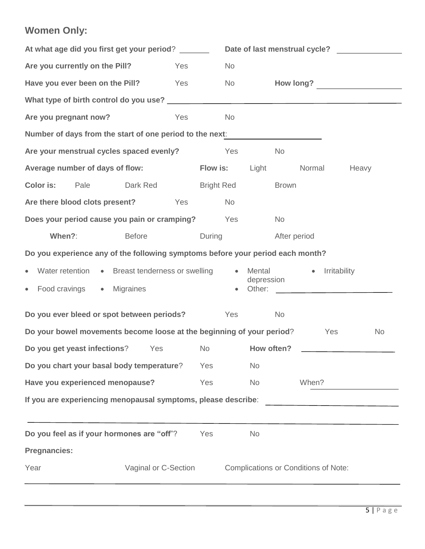## **Women Only:**

| At what age did you first get your period?                                        |           |                                                                                                                                                                                                                                | Date of last menstrual cycle? |              |                                             |           |
|-----------------------------------------------------------------------------------|-----------|--------------------------------------------------------------------------------------------------------------------------------------------------------------------------------------------------------------------------------|-------------------------------|--------------|---------------------------------------------|-----------|
| Are you currently on the Pill?                                                    | Yes       | <b>No</b>                                                                                                                                                                                                                      |                               |              |                                             |           |
| Have you ever been on the Pill?                                                   | Yes       | No results and the New York of the New York of the New York of the New York of the New York of the New York of the New York of the New York of the New York of the New York of the New York of the New York of the New York of |                               |              |                                             |           |
| What type of birth control do you use?<br>Minat type of birth control do you use? |           |                                                                                                                                                                                                                                |                               |              |                                             |           |
| Are you pregnant now?                                                             | Yes       | <b>No</b>                                                                                                                                                                                                                      |                               |              |                                             |           |
| Number of days from the start of one period to the next:                          |           |                                                                                                                                                                                                                                |                               |              |                                             |           |
| Are your menstrual cycles spaced evenly?                                          |           | Yes                                                                                                                                                                                                                            |                               | <b>No</b>    |                                             |           |
| Average number of days of flow:                                                   |           | <b>Flow is:</b>                                                                                                                                                                                                                | Light                         |              | Normal                                      | Heavy     |
| Color is:<br>Pale<br>Dark Red Bright Red                                          |           |                                                                                                                                                                                                                                |                               | <b>Brown</b> |                                             |           |
| Are there blood clots present? Yes                                                |           | <b>No</b>                                                                                                                                                                                                                      |                               |              |                                             |           |
| Does your period cause you pain or cramping?                                      |           | Yes                                                                                                                                                                                                                            |                               | <b>No</b>    |                                             |           |
| When?:<br><b>Before</b>                                                           |           | During                                                                                                                                                                                                                         |                               | After period |                                             |           |
| Do you experience any of the following symptoms before your period each month?    |           |                                                                                                                                                                                                                                |                               |              |                                             |           |
| Water retention • Breast tenderness or swelling                                   |           |                                                                                                                                                                                                                                | • Mental<br>depression        |              | Irritability<br>$\bullet$                   |           |
| Food cravings • Migraines<br>$\bullet$                                            |           |                                                                                                                                                                                                                                | Other:                        |              |                                             |           |
| Do you ever bleed or spot between periods?                                        |           | Yes                                                                                                                                                                                                                            |                               | <b>No</b>    |                                             |           |
| Do your bowel movements become loose at the beginning of your period? The Yes     |           |                                                                                                                                                                                                                                |                               |              |                                             | <b>No</b> |
| Do you get yeast infections?<br>Yes                                               | <b>No</b> |                                                                                                                                                                                                                                | How often?                    |              |                                             |           |
| Do you chart your basal body temperature?                                         |           | Yes                                                                                                                                                                                                                            | <b>No</b>                     |              |                                             |           |
| Have you experienced menopause?                                                   |           | Yes                                                                                                                                                                                                                            | <b>No</b>                     |              | When?                                       |           |
| If you are experiencing menopausal symptoms, please describe:                     |           |                                                                                                                                                                                                                                |                               |              |                                             |           |
| Do you feel as if your hormones are "off"?                                        |           | Yes                                                                                                                                                                                                                            | <b>No</b>                     |              |                                             |           |
| <b>Pregnancies:</b>                                                               |           |                                                                                                                                                                                                                                |                               |              |                                             |           |
| Year<br>Vaginal or C-Section                                                      |           |                                                                                                                                                                                                                                |                               |              | <b>Complications or Conditions of Note:</b> |           |